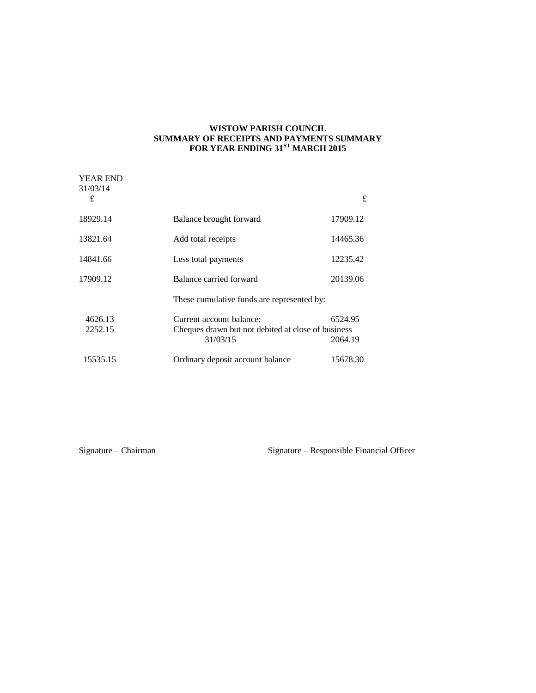## **WISTOW PARISH COUNCIL SUMMARY OF RECEIPTS AND PAYMENTS SUMMARY FOR YEAR ENDING 31ST MARCH 2015**

| <b>YEAR END</b><br>31/03/14 |                                                                                            |                    |
|-----------------------------|--------------------------------------------------------------------------------------------|--------------------|
| £                           |                                                                                            | £                  |
| 18929.14                    | Balance brought forward                                                                    | 17909.12           |
| 13821.64                    | Add total receipts                                                                         | 14465.36           |
| 14841.66                    | Less total payments                                                                        | 12235.42           |
| 17909.12                    | Balance carried forward                                                                    | 20139.06           |
|                             | These cumulative funds are represented by:                                                 |                    |
| 4626.13<br>2252.15          | Current account balance:<br>Cheques drawn but not debited at close of business<br>31/03/15 | 6524.95<br>2064.19 |
| 15535.15                    | Ordinary deposit account balance                                                           | 15678.30           |

Signature – Chairman Signature – Responsible Financial Officer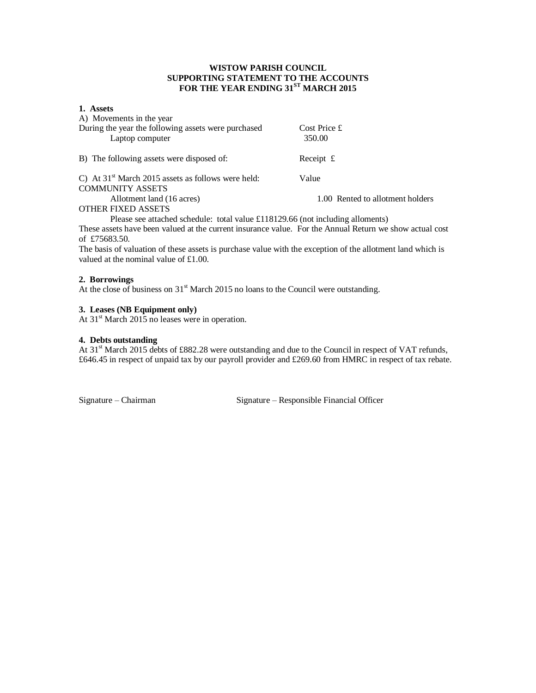# **WISTOW PARISH COUNCIL SUPPORTING STATEMENT TO THE ACCOUNTS FOR THE YEAR ENDING 31ST MARCH 2015**

## **1. Assets**

| A) Movements in the year                                                              |                                  |
|---------------------------------------------------------------------------------------|----------------------------------|
| During the year the following assets were purchased                                   | Cost Price £                     |
| Laptop computer                                                                       | 350.00                           |
|                                                                                       |                                  |
| B) The following assets were disposed of:                                             | Receipt $\pounds$                |
| C) At $31st$ March 2015 assets as follows were held:                                  | Value                            |
| <b>COMMUNITY ASSETS</b>                                                               |                                  |
| Allotment land (16 acres)                                                             | 1.00 Rented to allotment holders |
| OTHER FIXED ASSETS                                                                    |                                  |
| $D0.000$ are attached schedular total value $f110120 \le f$ (not including allements) |                                  |

Please see attached schedule: total value £118129.66 (not including alloments) These assets have been valued at the current insurance value. For the Annual Return we show actual cost of £75683.50.

The basis of valuation of these assets is purchase value with the exception of the allotment land which is valued at the nominal value of £1.00.

## **2. Borrowings**

At the close of business on  $31<sup>st</sup>$  March 2015 no loans to the Council were outstanding.

## **3. Leases (NB Equipment only)**

At  $31<sup>st</sup>$  March 2015 no leases were in operation.

### **4. Debts outstanding**

At 31<sup>st</sup> March 2015 debts of £882.28 were outstanding and due to the Council in respect of VAT refunds, £646.45 in respect of unpaid tax by our payroll provider and £269.60 from HMRC in respect of tax rebate.

Signature – Chairman Signature – Responsible Financial Officer